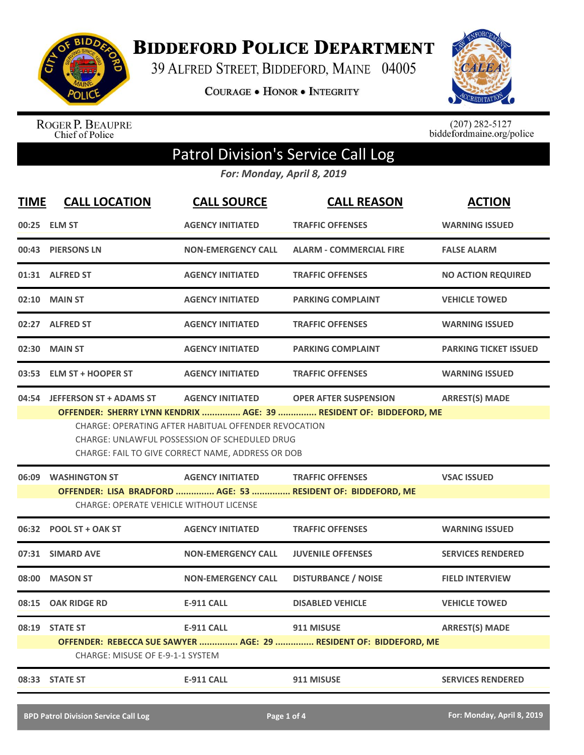

**BIDDEFORD POLICE DEPARTMENT** 

39 ALFRED STREET, BIDDEFORD, MAINE 04005

**COURAGE . HONOR . INTEGRITY** 



ROGER P. BEAUPRE<br>Chief of Police

 $(207)$  282-5127<br>biddefordmaine.org/police

## Patrol Division's Service Call Log

*For: Monday, April 8, 2019*

| <b>TIME</b> | <b>CALL LOCATION</b>                                                                                                                                                                                                                                                                                                                                  | <b>CALL SOURCE</b>        | <b>CALL REASON</b>                                                                      | <b>ACTION</b>                |
|-------------|-------------------------------------------------------------------------------------------------------------------------------------------------------------------------------------------------------------------------------------------------------------------------------------------------------------------------------------------------------|---------------------------|-----------------------------------------------------------------------------------------|------------------------------|
|             | 00:25 ELM ST                                                                                                                                                                                                                                                                                                                                          | <b>AGENCY INITIATED</b>   | <b>TRAFFIC OFFENSES</b>                                                                 | <b>WARNING ISSUED</b>        |
|             | 00:43 PIERSONS LN                                                                                                                                                                                                                                                                                                                                     | <b>NON-EMERGENCY CALL</b> | <b>ALARM - COMMERCIAL FIRE</b>                                                          | <b>FALSE ALARM</b>           |
|             | 01:31 ALFRED ST                                                                                                                                                                                                                                                                                                                                       | <b>AGENCY INITIATED</b>   | <b>TRAFFIC OFFENSES</b>                                                                 | <b>NO ACTION REQUIRED</b>    |
|             | 02:10 MAIN ST                                                                                                                                                                                                                                                                                                                                         | <b>AGENCY INITIATED</b>   | <b>PARKING COMPLAINT</b>                                                                | <b>VEHICLE TOWED</b>         |
|             | 02:27 ALFRED ST                                                                                                                                                                                                                                                                                                                                       | <b>AGENCY INITIATED</b>   | <b>TRAFFIC OFFENSES</b>                                                                 | <b>WARNING ISSUED</b>        |
|             | 02:30 MAIN ST                                                                                                                                                                                                                                                                                                                                         | <b>AGENCY INITIATED</b>   | <b>PARKING COMPLAINT</b>                                                                | <b>PARKING TICKET ISSUED</b> |
| 03:53       | <b>ELM ST + HOOPER ST</b>                                                                                                                                                                                                                                                                                                                             | <b>AGENCY INITIATED</b>   | <b>TRAFFIC OFFENSES</b>                                                                 | <b>WARNING ISSUED</b>        |
|             | <b>ARREST(S) MADE</b><br>04:54 JEFFERSON ST + ADAMS ST<br><b>AGENCY INITIATED</b><br><b>OPER AFTER SUSPENSION</b><br>OFFENDER: SHERRY LYNN KENDRIX  AGE: 39  RESIDENT OF: BIDDEFORD, ME<br>CHARGE: OPERATING AFTER HABITUAL OFFENDER REVOCATION<br>CHARGE: UNLAWFUL POSSESSION OF SCHEDULED DRUG<br>CHARGE: FAIL TO GIVE CORRECT NAME, ADDRESS OR DOB |                           |                                                                                         |                              |
|             | 06:09 WASHINGTON ST<br><b>CHARGE: OPERATE VEHICLE WITHOUT LICENSE</b>                                                                                                                                                                                                                                                                                 | <b>AGENCY INITIATED</b>   | <b>TRAFFIC OFFENSES</b><br>OFFENDER: LISA BRADFORD  AGE: 53  RESIDENT OF: BIDDEFORD, ME | <b>VSAC ISSUED</b>           |
|             | 06:32 POOL ST + OAK ST                                                                                                                                                                                                                                                                                                                                | <b>AGENCY INITIATED</b>   | <b>TRAFFIC OFFENSES</b>                                                                 | <b>WARNING ISSUED</b>        |
| 07:31       | <b>SIMARD AVE</b>                                                                                                                                                                                                                                                                                                                                     | <b>NON-EMERGENCY CALL</b> | <b>JUVENILE OFFENSES</b>                                                                | <b>SERVICES RENDERED</b>     |
| 08:00       | <b>MASON ST</b>                                                                                                                                                                                                                                                                                                                                       | <b>NON-EMERGENCY CALL</b> | <b>DISTURBANCE / NOISE</b>                                                              | <b>FIELD INTERVIEW</b>       |
|             | 08:15 OAK RIDGE RD                                                                                                                                                                                                                                                                                                                                    | <b>E-911 CALL</b>         | <b>DISABLED VEHICLE</b>                                                                 | <b>VEHICLE TOWED</b>         |
| 08:19       | <b>STATE ST</b><br>CHARGE: MISUSE OF E-9-1-1 SYSTEM                                                                                                                                                                                                                                                                                                   | <b>E-911 CALL</b>         | 911 MISUSE<br>OFFENDER: REBECCA SUE SAWYER  AGE: 29  RESIDENT OF: BIDDEFORD, ME         | <b>ARREST(S) MADE</b>        |
|             | 08:33 STATE ST                                                                                                                                                                                                                                                                                                                                        | <b>E-911 CALL</b>         | 911 MISUSE                                                                              | <b>SERVICES RENDERED</b>     |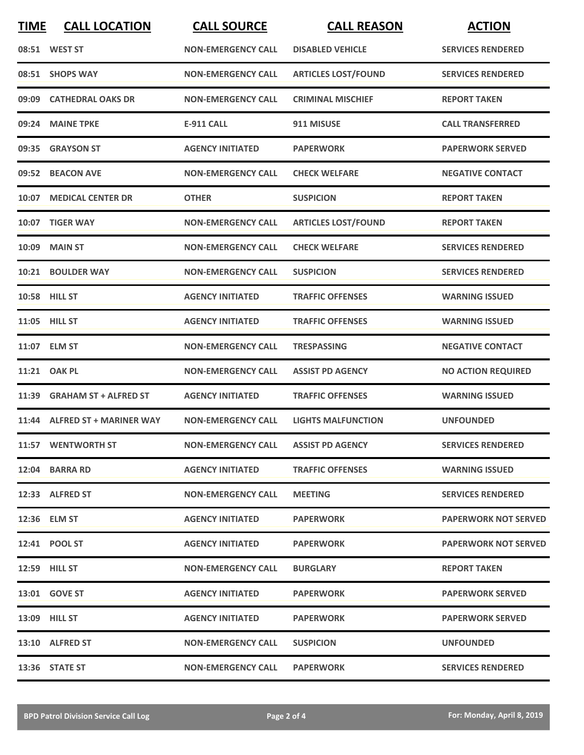| <b>TIME</b> | <b>CALL LOCATION</b>          | <b>CALL SOURCE</b>        | <b>CALL REASON</b>         | <b>ACTION</b>               |
|-------------|-------------------------------|---------------------------|----------------------------|-----------------------------|
|             | 08:51 WEST ST                 | <b>NON-EMERGENCY CALL</b> | <b>DISABLED VEHICLE</b>    | <b>SERVICES RENDERED</b>    |
|             | 08:51 SHOPS WAY               | <b>NON-EMERGENCY CALL</b> | <b>ARTICLES LOST/FOUND</b> | <b>SERVICES RENDERED</b>    |
|             | 09:09 CATHEDRAL OAKS DR       | <b>NON-EMERGENCY CALL</b> | <b>CRIMINAL MISCHIEF</b>   | <b>REPORT TAKEN</b>         |
|             | 09:24 MAINE TPKE              | <b>E-911 CALL</b>         | 911 MISUSE                 | <b>CALL TRANSFERRED</b>     |
|             | 09:35 GRAYSON ST              | <b>AGENCY INITIATED</b>   | <b>PAPERWORK</b>           | <b>PAPERWORK SERVED</b>     |
|             | 09:52 BEACON AVE              | <b>NON-EMERGENCY CALL</b> | <b>CHECK WELFARE</b>       | <b>NEGATIVE CONTACT</b>     |
|             | 10:07 MEDICAL CENTER DR       | <b>OTHER</b>              | <b>SUSPICION</b>           | <b>REPORT TAKEN</b>         |
| 10:07       | <b>TIGER WAY</b>              | <b>NON-EMERGENCY CALL</b> | <b>ARTICLES LOST/FOUND</b> | <b>REPORT TAKEN</b>         |
| 10:09       | <b>MAIN ST</b>                | <b>NON-EMERGENCY CALL</b> | <b>CHECK WELFARE</b>       | <b>SERVICES RENDERED</b>    |
|             | 10:21 BOULDER WAY             | <b>NON-EMERGENCY CALL</b> | <b>SUSPICION</b>           | <b>SERVICES RENDERED</b>    |
|             | 10:58 HILL ST                 | <b>AGENCY INITIATED</b>   | <b>TRAFFIC OFFENSES</b>    | <b>WARNING ISSUED</b>       |
|             | 11:05 HILL ST                 | <b>AGENCY INITIATED</b>   | <b>TRAFFIC OFFENSES</b>    | <b>WARNING ISSUED</b>       |
|             | 11:07 ELM ST                  | <b>NON-EMERGENCY CALL</b> | <b>TRESPASSING</b>         | <b>NEGATIVE CONTACT</b>     |
|             | 11:21 OAK PL                  | <b>NON-EMERGENCY CALL</b> | <b>ASSIST PD AGENCY</b>    | <b>NO ACTION REQUIRED</b>   |
|             | 11:39 GRAHAM ST + ALFRED ST   | <b>AGENCY INITIATED</b>   | <b>TRAFFIC OFFENSES</b>    | <b>WARNING ISSUED</b>       |
|             | 11:44 ALFRED ST + MARINER WAY | <b>NON-EMERGENCY CALL</b> | <b>LIGHTS MALFUNCTION</b>  | <b>UNFOUNDED</b>            |
|             | 11:57 WENTWORTH ST            | <b>NON-EMERGENCY CALL</b> | <b>ASSIST PD AGENCY</b>    | <b>SERVICES RENDERED</b>    |
|             | 12:04 BARRA RD                | <b>AGENCY INITIATED</b>   | <b>TRAFFIC OFFENSES</b>    | <b>WARNING ISSUED</b>       |
|             | 12:33 ALFRED ST               | <b>NON-EMERGENCY CALL</b> | <b>MEETING</b>             | <b>SERVICES RENDERED</b>    |
|             | 12:36 ELM ST                  | <b>AGENCY INITIATED</b>   | <b>PAPERWORK</b>           | <b>PAPERWORK NOT SERVED</b> |
|             | 12:41 POOL ST                 | <b>AGENCY INITIATED</b>   | <b>PAPERWORK</b>           | <b>PAPERWORK NOT SERVED</b> |
|             | <b>12:59 HILL ST</b>          | <b>NON-EMERGENCY CALL</b> | <b>BURGLARY</b>            | <b>REPORT TAKEN</b>         |
|             | 13:01 GOVE ST                 | <b>AGENCY INITIATED</b>   | <b>PAPERWORK</b>           | <b>PAPERWORK SERVED</b>     |
|             | <b>13:09 HILL ST</b>          | <b>AGENCY INITIATED</b>   | <b>PAPERWORK</b>           | <b>PAPERWORK SERVED</b>     |
|             | 13:10 ALFRED ST               | <b>NON-EMERGENCY CALL</b> | <b>SUSPICION</b>           | <b>UNFOUNDED</b>            |
|             | 13:36 STATE ST                | <b>NON-EMERGENCY CALL</b> | <b>PAPERWORK</b>           | <b>SERVICES RENDERED</b>    |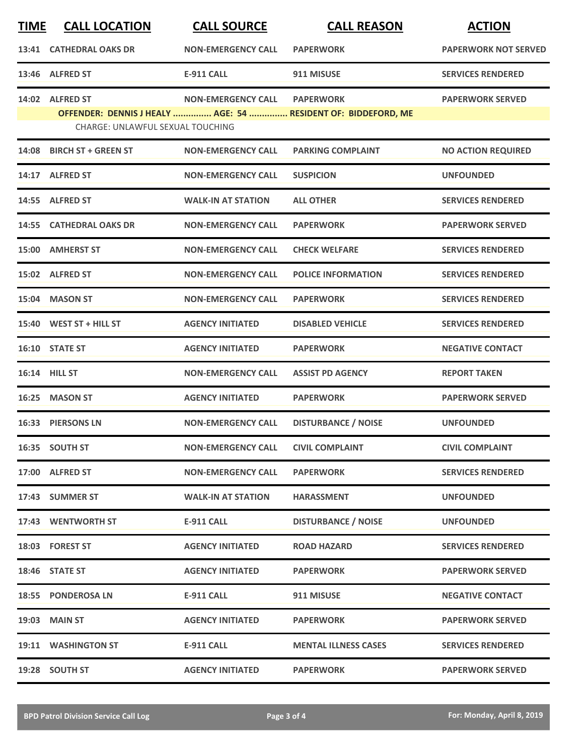| <b>TIME</b> | <b>CALL LOCATION</b>             | <b>CALL SOURCE</b>        | <b>CALL REASON</b>                                            | <b>ACTION</b>               |
|-------------|----------------------------------|---------------------------|---------------------------------------------------------------|-----------------------------|
|             | 13:41 CATHEDRAL OAKS DR          | <b>NON-EMERGENCY CALL</b> | <b>PAPERWORK</b>                                              | <b>PAPERWORK NOT SERVED</b> |
|             | 13:46 ALFRED ST                  | <b>E-911 CALL</b>         | 911 MISUSE                                                    | <b>SERVICES RENDERED</b>    |
|             | 14:02 ALFRED ST                  | <b>NON-EMERGENCY CALL</b> | <b>PAPERWORK</b>                                              | <b>PAPERWORK SERVED</b>     |
|             | CHARGE: UNLAWFUL SEXUAL TOUCHING |                           | OFFENDER: DENNIS J HEALY  AGE: 54  RESIDENT OF: BIDDEFORD, ME |                             |
| 14:08       | <b>BIRCH ST + GREEN ST</b>       | <b>NON-EMERGENCY CALL</b> | <b>PARKING COMPLAINT</b>                                      | <b>NO ACTION REQUIRED</b>   |
|             | 14:17 ALFRED ST                  | <b>NON-EMERGENCY CALL</b> | <b>SUSPICION</b>                                              | <b>UNFOUNDED</b>            |
| 14:55       | <b>ALFRED ST</b>                 | <b>WALK-IN AT STATION</b> | <b>ALL OTHER</b>                                              | <b>SERVICES RENDERED</b>    |
| 14:55       | <b>CATHEDRAL OAKS DR</b>         | <b>NON-EMERGENCY CALL</b> | <b>PAPERWORK</b>                                              | <b>PAPERWORK SERVED</b>     |
| 15:00       | <b>AMHERST ST</b>                | <b>NON-EMERGENCY CALL</b> | <b>CHECK WELFARE</b>                                          | <b>SERVICES RENDERED</b>    |
|             | 15:02 ALFRED ST                  | <b>NON-EMERGENCY CALL</b> | <b>POLICE INFORMATION</b>                                     | <b>SERVICES RENDERED</b>    |
| 15:04       | <b>MASON ST</b>                  | <b>NON-EMERGENCY CALL</b> | <b>PAPERWORK</b>                                              | <b>SERVICES RENDERED</b>    |
|             | 15:40 WEST ST + HILL ST          | <b>AGENCY INITIATED</b>   | <b>DISABLED VEHICLE</b>                                       | <b>SERVICES RENDERED</b>    |
|             | 16:10 STATE ST                   | <b>AGENCY INITIATED</b>   | <b>PAPERWORK</b>                                              | <b>NEGATIVE CONTACT</b>     |
|             | 16:14 HILL ST                    | <b>NON-EMERGENCY CALL</b> | <b>ASSIST PD AGENCY</b>                                       | <b>REPORT TAKEN</b>         |
| 16:25       | <b>MASON ST</b>                  | <b>AGENCY INITIATED</b>   | <b>PAPERWORK</b>                                              | <b>PAPERWORK SERVED</b>     |
|             | 16:33 PIERSONS LN                | <b>NON-EMERGENCY CALL</b> | <b>DISTURBANCE / NOISE</b>                                    | <b>UNFOUNDED</b>            |
|             | 16:35 SOUTH ST                   | <b>NON-EMERGENCY CALL</b> | <b>CIVIL COMPLAINT</b>                                        | <b>CIVIL COMPLAINT</b>      |
|             | 17:00 ALFRED ST                  | <b>NON-EMERGENCY CALL</b> | <b>PAPERWORK</b>                                              | <b>SERVICES RENDERED</b>    |
|             | 17:43 SUMMER ST                  | <b>WALK-IN AT STATION</b> | <b>HARASSMENT</b>                                             | <b>UNFOUNDED</b>            |
|             | 17:43 WENTWORTH ST               | <b>E-911 CALL</b>         | <b>DISTURBANCE / NOISE</b>                                    | <b>UNFOUNDED</b>            |
|             | 18:03 FOREST ST                  | <b>AGENCY INITIATED</b>   | <b>ROAD HAZARD</b>                                            | <b>SERVICES RENDERED</b>    |
|             | 18:46 STATE ST                   | <b>AGENCY INITIATED</b>   | <b>PAPERWORK</b>                                              | <b>PAPERWORK SERVED</b>     |
|             | 18:55 PONDEROSA LN               | E-911 CALL                | 911 MISUSE                                                    | <b>NEGATIVE CONTACT</b>     |
|             | 19:03 MAIN ST                    | <b>AGENCY INITIATED</b>   | <b>PAPERWORK</b>                                              | <b>PAPERWORK SERVED</b>     |
|             | 19:11 WASHINGTON ST              | E-911 CALL                | <b>MENTAL ILLNESS CASES</b>                                   | <b>SERVICES RENDERED</b>    |
|             | 19:28 SOUTH ST                   | <b>AGENCY INITIATED</b>   | <b>PAPERWORK</b>                                              | <b>PAPERWORK SERVED</b>     |